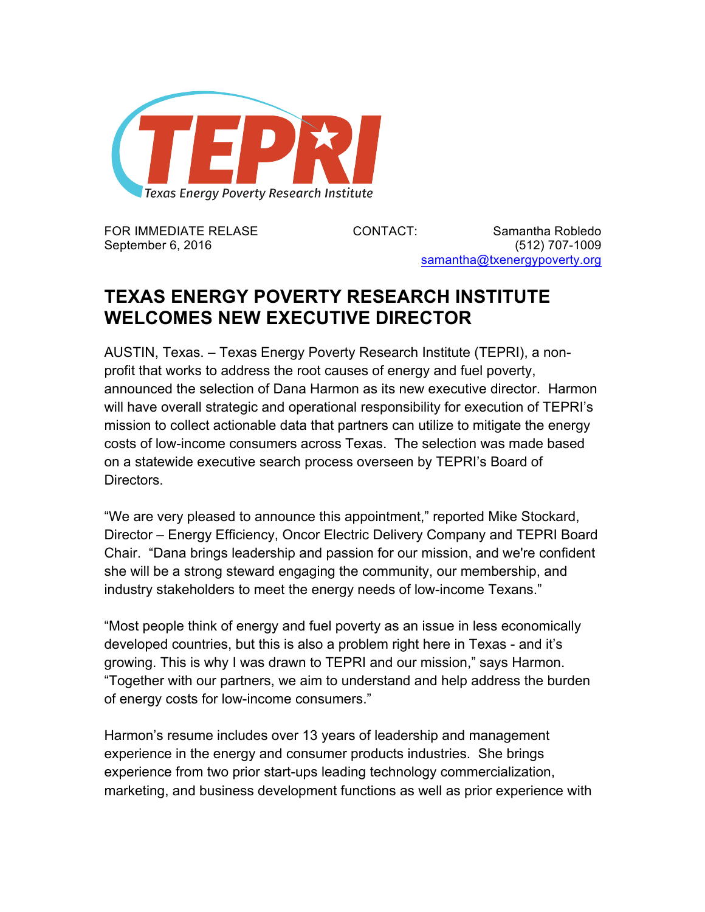

FOR IMMEDIATE RELASE CONTACT: Samantha Robledo September 6, 2016 **(512)** 707-1009 samantha@txenergypoverty.org

## **TEXAS ENERGY POVERTY RESEARCH INSTITUTE WELCOMES NEW EXECUTIVE DIRECTOR**

AUSTIN, Texas. – Texas Energy Poverty Research Institute (TEPRI), a nonprofit that works to address the root causes of energy and fuel poverty, announced the selection of Dana Harmon as its new executive director. Harmon will have overall strategic and operational responsibility for execution of TEPRI's mission to collect actionable data that partners can utilize to mitigate the energy costs of low-income consumers across Texas. The selection was made based on a statewide executive search process overseen by TEPRI's Board of **Directors** 

"We are very pleased to announce this appointment," reported Mike Stockard, Director – Energy Efficiency, Oncor Electric Delivery Company and TEPRI Board Chair. "Dana brings leadership and passion for our mission, and we're confident she will be a strong steward engaging the community, our membership, and industry stakeholders to meet the energy needs of low-income Texans."

"Most people think of energy and fuel poverty as an issue in less economically developed countries, but this is also a problem right here in Texas - and it's growing. This is why I was drawn to TEPRI and our mission," says Harmon. "Together with our partners, we aim to understand and help address the burden of energy costs for low-income consumers."

Harmon's resume includes over 13 years of leadership and management experience in the energy and consumer products industries. She brings experience from two prior start-ups leading technology commercialization, marketing, and business development functions as well as prior experience with